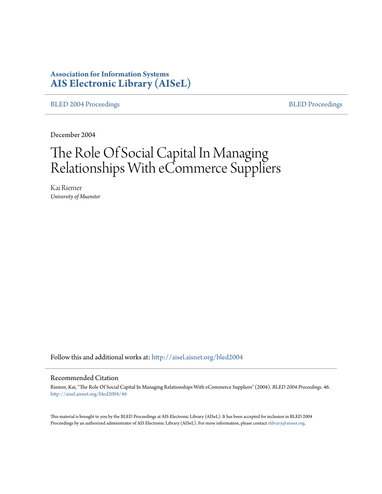# **Association for Information Systems [AIS Electronic Library \(AISeL\)](http://aisel.aisnet.org?utm_source=aisel.aisnet.org%2Fbled2004%2F46&utm_medium=PDF&utm_campaign=PDFCoverPages)**

[BLED 2004 Proceedings](http://aisel.aisnet.org/bled2004?utm_source=aisel.aisnet.org%2Fbled2004%2F46&utm_medium=PDF&utm_campaign=PDFCoverPages) **[BLED Proceedings](http://aisel.aisnet.org/bled?utm_source=aisel.aisnet.org%2Fbled2004%2F46&utm_medium=PDF&utm_campaign=PDFCoverPages)** 

December 2004

# The Role Of Social Capital In Managing Relationships With eCommerce Suppliers

Kai Riemer *University of Muenster*

Follow this and additional works at: [http://aisel.aisnet.org/bled2004](http://aisel.aisnet.org/bled2004?utm_source=aisel.aisnet.org%2Fbled2004%2F46&utm_medium=PDF&utm_campaign=PDFCoverPages)

#### Recommended Citation

Riemer, Kai, "The Role Of Social Capital In Managing Relationships With eCommerce Suppliers" (2004). *BLED 2004 Proceedings*. 46. [http://aisel.aisnet.org/bled2004/46](http://aisel.aisnet.org/bled2004/46?utm_source=aisel.aisnet.org%2Fbled2004%2F46&utm_medium=PDF&utm_campaign=PDFCoverPages)

This material is brought to you by the BLED Proceedings at AIS Electronic Library (AISeL). It has been accepted for inclusion in BLED 2004 Proceedings by an authorized administrator of AIS Electronic Library (AISeL). For more information, please contact [elibrary@aisnet.org](mailto:elibrary@aisnet.org%3E).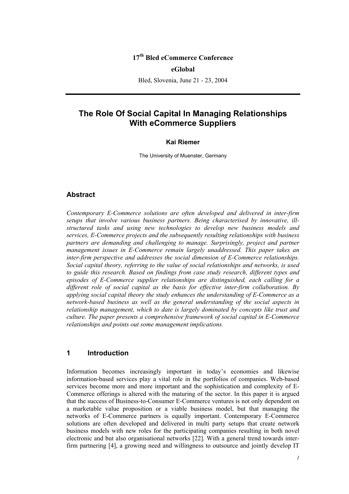# **17th Bled eCommerce Conference**

#### **eGlobal**

Bled, Slovenia, June 21 - 23, 2004

# **The Role Of Social Capital In Managing Relationships With eCommerce Suppliers**

#### **Kai Riemer**

The University of Muenster, Germany

#### **Abstract**

*Contemporary E-Commerce solutions are often developed and delivered in inter-firm setups that involve various business partners. Being characterised by innovative, illstructured tasks and using new technologies to develop new business models and services, E-Commerce projects and the subsequently resulting relationships with business partners are demanding and challenging to manage. Surprisingly, project and partner management issues in E-Commerce remain largely unaddressed. This paper takes an inter-firm perspective and addresses the social dimension of E-Commerce relationships. Social capital theory, referring to the value of social relationships and networks, is used to guide this research. Based on findings from case study research, different types and episodes of E-Commerce supplier relationships are distinguished, each calling for a different role of social capital as the basis for effective inter-firm collaboration. By applying social capital theory the study enhances the understanding of E-Commerce as a network-based business as well as the general understanding of the social aspects in relationship management, which to date is largely dominated by concepts like trust and culture. The paper presents a comprehensive framework of social capital in E-Commerce relationships and points out some management implications.* 

## **1 Introduction**

Information becomes increasingly important in today's economies and likewise information-based services play a vital role in the portfolios of companies. Web-based services become more and more important and the sophistication and complexity of E-Commerce offerings is altered with the maturing of the sector. In this paper it is argued that the success of Business-to-Consumer E-Commerce ventures is not only dependent on a marketable value proposition or a viable business model, but that managing the networks of E-Commerce partners is equally important. Contemporary E-Commerce solutions are often developed and delivered in multi party setups that create network business models with new roles for the participating companies resulting in both novel electronic and but also organisational networks [22]. With a general trend towards interfirm partnering [4], a growing need and willingness to outsource and jointly develop IT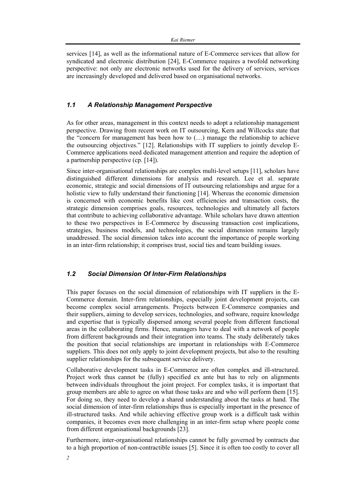services [14], as well as the informational nature of E-Commerce services that allow for syndicated and electronic distribution [24], E-Commerce requires a twofold networking perspective: not only are electronic networks used for the delivery of services, services are increasingly developed and delivered based on organisational networks.

## *1.1 A Relationship Management Perspective*

As for other areas, management in this context needs to adopt a relationship management perspective. Drawing from recent work on IT outsourcing, Kern and Willcocks state that the "concern for management has been how to (…) manage the relationship to achieve the outsourcing objectives." [12]. Relationships with IT suppliers to jointly develop E-Commerce applications need dedicated management attention and require the adoption of a partnership perspective (cp. [14]).

Since inter-organisational relationships are complex multi-level setups [11], scholars have distinguished different dimensions for analysis and research. Lee et al. separate economic, strategic and social dimensions of IT outsourcing relationships and argue for a holistic view to fully understand their functioning [14]. Whereas the economic dimension is concerned with economic benefits like cost efficiencies and transaction costs, the strategic dimension comprises goals, resources, technologies and ultimately all factors that contribute to achieving collaborative advantage. While scholars have drawn attention to these two perspectives in E-Commerce by discussing transaction cost implications, strategies, business models, and technologies, the social dimension remains largely unaddressed. The social dimension takes into account the importance of people working in an inter-firm relationship; it comprises trust, social ties and team building issues.

## *1.2 Social Dimension Of Inter-Firm Relationships*

This paper focuses on the social dimension of relationships with IT suppliers in the E-Commerce domain. Inter-firm relationships, especially joint development projects, can become complex social arrangements. Projects between E-Commerce companies and their suppliers, aiming to develop services, technologies, and software, require knowledge and expertise that is typically dispersed among several people from different functional areas in the collaborating firms. Hence, managers have to deal with a network of people from different backgrounds and their integration into teams. The study deliberately takes the position that social relationships are important in relationships with E-Commerce suppliers. This does not only apply to joint development projects, but also to the resulting supplier relationships for the subsequent service delivery.

Collaborative development tasks in E-Commerce are often complex and ill-structured. Project work thus cannot be (fully) specified ex ante but has to rely on alignments between individuals throughout the joint project. For complex tasks, it is important that group members are able to agree on what those tasks are and who will perform them [15]. For doing so, they need to develop a shared understanding about the tasks at hand. The social dimension of inter-firm relationships thus is especially important in the presence of ill-structured tasks. And while achieving effective group work is a difficult task within companies, it becomes even more challenging in an inter-firm setup where people come from different organisational backgrounds [23].

Furthermore, inter-organisational relationships cannot be fully governed by contracts due to a high proportion of non-contractible issues [5]. Since it is often too costly to cover all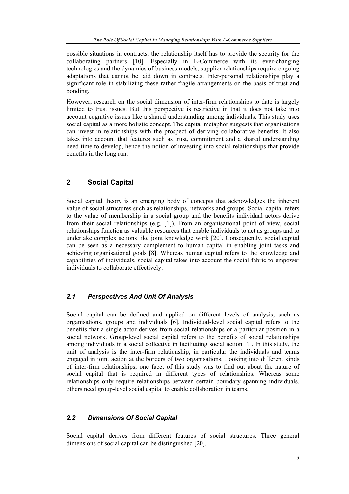possible situations in contracts, the relationship itself has to provide the security for the collaborating partners [10]. Especially in E-Commerce with its ever-changing technologies and the dynamics of business models, supplier relationships require ongoing adaptations that cannot be laid down in contracts. Inter-personal relationships play a significant role in stabilizing these rather fragile arrangements on the basis of trust and bonding.

However, research on the social dimension of inter-firm relationships to date is largely limited to trust issues. But this perspective is restrictive in that it does not take into account cognitive issues like a shared understanding among individuals. This study uses social capital as a more holistic concept. The capital metaphor suggests that organisations can invest in relationships with the prospect of deriving collaborative benefits. It also takes into account that features such as trust, commitment and a shared understanding need time to develop, hence the notion of investing into social relationships that provide benefits in the long run.

# **2 Social Capital**

Social capital theory is an emerging body of concepts that acknowledges the inherent value of social structures such as relationships, networks and groups. Social capital refers to the value of membership in a social group and the benefits individual actors derive from their social relationships (e.g. [1]). From an organisational point of view, social relationships function as valuable resources that enable individuals to act as groups and to undertake complex actions like joint knowledge work [20]. Consequently, social capital can be seen as a necessary complement to human capital in enabling joint tasks and achieving organisational goals [8]. Whereas human capital refers to the knowledge and capabilities of individuals, social capital takes into account the social fabric to empower individuals to collaborate effectively.

#### *2.1 Perspectives And Unit Of Analysis*

Social capital can be defined and applied on different levels of analysis, such as organisations, groups and individuals [6]. Individual-level social capital refers to the benefits that a single actor derives from social relationships or a particular position in a social network. Group-level social capital refers to the benefits of social relationships among individuals in a social collective in facilitating social action [1]. In this study, the unit of analysis is the inter-firm relationship, in particular the individuals and teams engaged in joint action at the borders of two organisations. Looking into different kinds of inter-firm relationships, one facet of this study was to find out about the nature of social capital that is required in different types of relationships. Whereas some relationships only require relationships between certain boundary spanning individuals, others need group-level social capital to enable collaboration in teams.

# *2.2 Dimensions Of Social Capital*

Social capital derives from different features of social structures. Three general dimensions of social capital can be distinguished [20].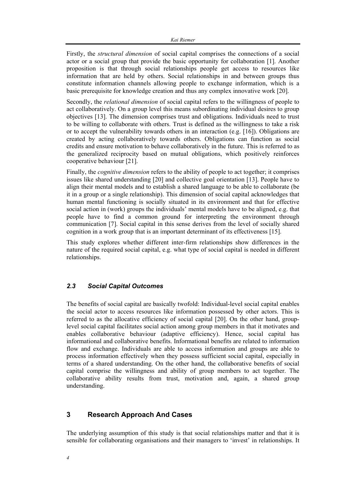Firstly, the *structural dimension* of social capital comprises the connections of a social actor or a social group that provide the basic opportunity for collaboration [1]. Another proposition is that through social relationships people get access to resources like information that are held by others. Social relationships in and between groups thus constitute information channels allowing people to exchange information, which is a basic prerequisite for knowledge creation and thus any complex innovative work [20].

Secondly, the *relational dimension* of social capital refers to the willingness of people to act collaboratively. On a group level this means subordinating individual desires to group objectives [13]. The dimension comprises trust and obligations. Individuals need to trust to be willing to collaborate with others. Trust is defined as the willingness to take a risk or to accept the vulnerability towards others in an interaction (e.g. [16]). Obligations are created by acting collaboratively towards others. Obligations can function as social credits and ensure motivation to behave collaboratively in the future. This is referred to as the generalized reciprocity based on mutual obligations, which positively reinforces cooperative behaviour [21].

Finally, the *cognitive dimension* refers to the ability of people to act together; it comprises issues like shared understanding [20] and collective goal orientation [13]. People have to align their mental models and to establish a shared language to be able to collaborate (be it in a group or a single relationship). This dimension of social capital acknowledges that human mental functioning is socially situated in its environment and that for effective social action in (work) groups the individuals' mental models have to be aligned, e.g. that people have to find a common ground for interpreting the environment through communication [7]. Social capital in this sense derives from the level of socially shared cognition in a work group that is an important determinant of its effectiveness [15].

This study explores whether different inter-firm relationships show differences in the nature of the required social capital, e.g. what type of social capital is needed in different relationships.

# *2.3 Social Capital Outcomes*

The benefits of social capital are basically twofold: Individual-level social capital enables the social actor to access resources like information possessed by other actors. This is referred to as the allocative efficiency of social capital [20]. On the other hand, grouplevel social capital facilitates social action among group members in that it motivates and enables collaborative behaviour (adaptive efficiency). Hence, social capital has informational and collaborative benefits. Informational benefits are related to information flow and exchange. Individuals are able to access information and groups are able to process information effectively when they possess sufficient social capital, especially in terms of a shared understanding. On the other hand, the collaborative benefits of social capital comprise the willingness and ability of group members to act together. The collaborative ability results from trust, motivation and, again, a shared group understanding.

# **3 Research Approach And Cases**

The underlying assumption of this study is that social relationships matter and that it is sensible for collaborating organisations and their managers to 'invest' in relationships. It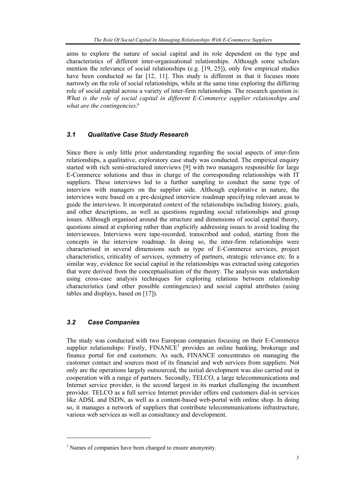aims to explore the nature of social capital and its role dependent on the type and characteristics of different inter-organisational relationships. Although some scholars mention the relevance of social relationships (e.g. [19, 25]), only few empirical studies have been conducted so far [12, 11]. This study is different in that it focuses more narrowly on the role of social relationships, while at the same time exploring the differing role of social capital across a variety of inter-firm relationships. The research question is: *What is the role of social capital in different E-Commerce supplier relationships and what are the contingencies?* 

# *3.1 Qualitative Case Study Research*

Since there is only little prior understanding regarding the social aspects of inter-firm relationships, a qualitative, exploratory case study was conducted. The empirical enquiry started with rich semi-structured interviews [9] with two managers responsible for large E-Commerce solutions and thus in charge of the corresponding relationships with IT suppliers. These interviews led to a further sampling to conduct the same type of interview with managers on the supplier side. Although explorative in nature, the interviews were based on a pre-designed interview roadmap specifying relevant areas to guide the interviews. It incorporated context of the relationships including history, goals, and other descriptions, as well as questions regarding social relationships and group issues. Although organised around the structure and dimensions of social capital theory, questions aimed at exploring rather than explicitly addressing issues to avoid leading the interviewees. Interviews were tape-recorded, transcribed and coded, starting from the concepts in the interview roadmap. In doing so, the inter-firm relationships were characterised in several dimensions such as type of E-Commerce services, project characteristics, criticality of services, symmetry of partners, strategic relevance etc. In a similar way, evidence for social capital in the relationships was extracted using categories that were derived from the conceptualisation of the theory. The analysis was undertaken using cross-case analysis techniques for exploring relations between relationship characteristics (and other possible contingencies) and social capital attributes (using tables and displays, based on [17]).

# *3.2 Case Companies*

l

The study was conducted with two European companies focusing on their E-Commerce supplier relationships: Firstly,  $FINANCE<sup>1</sup>$  provides an online banking, brokerage and finance portal for end customers. As such, FINANCE concentrates on managing the customer contact and sources most of its financial and web services from suppliers. Not only are the operations largely outsourced, the initial development was also carried out in cooperation with a range of partners. Secondly, TELCO, a large telecommunications and Internet service provider, is the second largest in its market challenging the incumbent provider. TELCO as a full service Internet provider offers end customers dial-in services like ADSL and ISDN, as well as a content-based web-portal with online shop. In doing so, it manages a network of suppliers that contribute telecommunications infrastructure, various web services as well as consultancy and development.

<sup>&</sup>lt;sup>1</sup> Names of companies have been changed to ensure anonymity.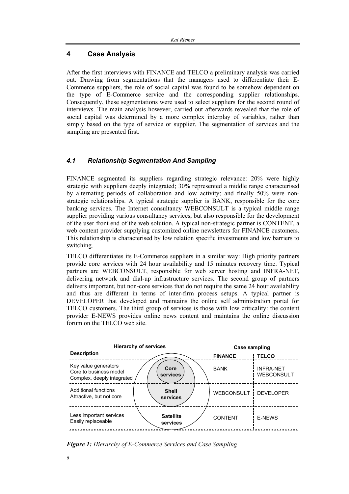# **4 Case Analysis**

After the first interviews with FINANCE and TELCO a preliminary analysis was carried out. Drawing from segmentations that the managers used to differentiate their E-Commerce suppliers, the role of social capital was found to be somehow dependent on the type of E-Commerce service and the corresponding supplier relationships. Consequently, these segmentations were used to select suppliers for the second round of interviews. The main analysis however, carried out afterwards revealed that the role of social capital was determined by a more complex interplay of variables, rather than simply based on the type of service or supplier. The segmentation of services and the sampling are presented first.

# *4.1 Relationship Segmentation And Sampling*

FINANCE segmented its suppliers regarding strategic relevance: 20% were highly strategic with suppliers deeply integrated; 30% represented a middle range characterised by alternating periods of collaboration and low activity; and finally 50% were nonstrategic relationships. A typical strategic supplier is BANK, responsible for the core banking services. The Internet consultancy WEBCONSULT is a typical middle range supplier providing various consultancy services, but also responsible for the development of the user front end of the web solution. A typical non-strategic partner is CONTENT, a web content provider supplying customized online newsletters for FINANCE customers. This relationship is characterised by low relation specific investments and low barriers to switching.

TELCO differentiates its E-Commerce suppliers in a similar way: High priority partners provide core services with 24 hour availability and 15 minutes recovery time. Typical partners are WEBCONSULT, responsible for web server hosting and INFRA-NET, delivering network and dial-up infrastructure services. The second group of partners delivers important, but non-core services that do not require the same 24 hour availability and thus are different in terms of inter-firm process setups. A typical partner is DEVELOPER that developed and maintains the online self administration portal for TELCO customers. The third group of services is those with low criticality: the content provider E-NEWS provides online news content and maintains the online discussion forum on the TELCO web site.



*Figure 1: Hierarchy of E-Commerce Services and Case Sampling*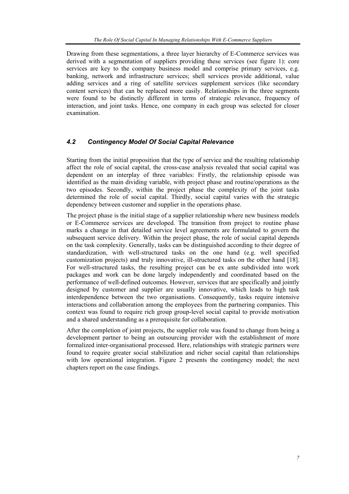Drawing from these segmentations, a three layer hierarchy of E-Commerce services was derived with a segmentation of suppliers providing these services (see figure 1): core services are key to the company business model and comprise primary services, e.g. banking, network and infrastructure services; shell services provide additional, value adding services and a ring of satellite services supplement services (like secondary content services) that can be replaced more easily. Relationships in the three segments were found to be distinctly different in terms of strategic relevance, frequency of interaction, and joint tasks. Hence, one company in each group was selected for closer examination.

# *4.2 Contingency Model Of Social Capital Relevance*

Starting from the initial proposition that the type of service and the resulting relationship affect the role of social capital, the cross-case analysis revealed that social capital was dependent on an interplay of three variables: Firstly, the relationship episode was identified as the main dividing variable, with project phase and routine/operations as the two episodes. Secondly, within the project phase the complexity of the joint tasks determined the role of social capital. Thirdly, social capital varies with the strategic dependency between customer and supplier in the operations phase.

The project phase is the initial stage of a supplier relationship where new business models or E-Commerce services are developed. The transition from project to routine phase marks a change in that detailed service level agreements are formulated to govern the subsequent service delivery. Within the project phase, the role of social capital depends on the task complexity. Generally, tasks can be distinguished according to their degree of standardization, with well-structured tasks on the one hand (e.g. well specified customization projects) and truly innovative, ill-structured tasks on the other hand [18]. For well-structured tasks, the resulting project can be ex ante subdivided into work packages and work can be done largely independently and coordinated based on the performance of well-defined outcomes. However, services that are specifically and jointly designed by customer and supplier are usually innovative, which leads to high task interdependence between the two organisations. Consequently, tasks require intensive interactions and collaboration among the employees from the partnering companies. This context was found to require rich group group-level social capital to provide motivation and a shared understanding as a prerequisite for collaboration.

After the completion of joint projects, the supplier role was found to change from being a development partner to being an outsourcing provider with the establishment of more formalized inter-organisational processed. Here, relationships with strategic partners were found to require greater social stabilization and richer social capital than relationships with low operational integration. Figure 2 presents the contingency model; the next chapters report on the case findings.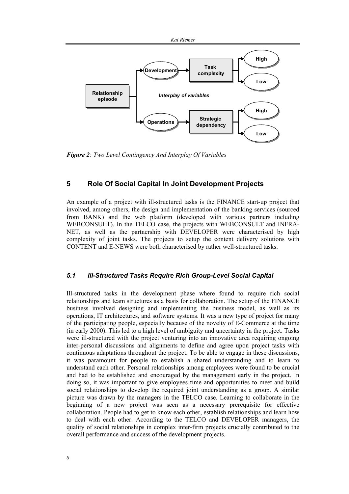

*Figure 2: Two Level Contingency And Interplay Of Variables* 

# **5 Role Of Social Capital In Joint Development Projects**

An example of a project with ill-structured tasks is the FINANCE start-up project that involved, among others, the design and implementation of the banking services (sourced from BANK) and the web platform (developed with various partners including WEBCONSULT). In the TELCO case, the projects with WEBCONSULT and INFRA-NET, as well as the partnership with DEVELOPER were characterised by high complexity of joint tasks. The projects to setup the content delivery solutions with CONTENT and E-NEWS were both characterised by rather well-structured tasks.

#### *5.1 Ill-Structured Tasks Require Rich Group-Level Social Capital*

Ill-structured tasks in the development phase where found to require rich social relationships and team structures as a basis for collaboration. The setup of the FINANCE business involved designing and implementing the business model, as well as its operations, IT architectures, and software systems. It was a new type of project for many of the participating people, especially because of the novelty of E-Commerce at the time (in early 2000). This led to a high level of ambiguity and uncertainty in the project. Tasks were ill-structured with the project venturing into an innovative area requiring ongoing inter-personal discussions and alignments to define and agree upon project tasks with continuous adaptations throughout the project. To be able to engage in these discussions, it was paramount for people to establish a shared understanding and to learn to understand each other. Personal relationships among employees were found to be crucial and had to be established and encouraged by the management early in the project. In doing so, it was important to give employees time and opportunities to meet and build social relationships to develop the required joint understanding as a group. A similar picture was drawn by the managers in the TELCO case. Learning to collaborate in the beginning of a new project was seen as a necessary prerequisite for effective collaboration. People had to get to know each other, establish relationships and learn how to deal with each other. According to the TELCO and DEVELOPER managers, the quality of social relationships in complex inter-firm projects crucially contributed to the overall performance and success of the development projects.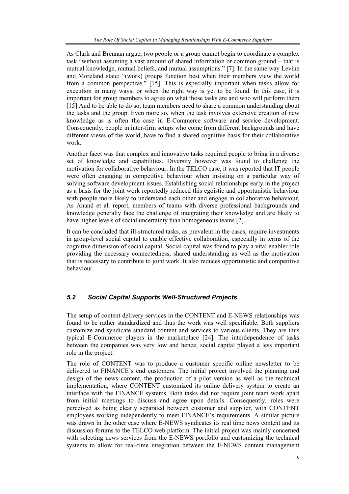As Clark and Brennan argue, two people or a group cannot begin to coordinate a complex task "without assuming a vast amount of shared information or common ground – that is mutual knowledge, mutual beliefs, and mutual assumptions." [7]. In the same way Levine and Moreland state: "(work) groups function best when their members view the world from a common perspective." [15]. This is especially important when tasks allow for execution in many ways, or when the right way is yet to be found. In this case, it is important for group members to agree on what those tasks are and who will perform them [15] And to be able to do so, team members need to share a common understanding about the tasks and the group. Even more so, when the task involves extensive creation of new knowledge as is often the case in E-Commerce software and service development. Consequently, people in inter-firm setups who come from different backgrounds and have different views of the world, have to find a shared cognitive basis for their collaborative work.

Another facet was that complex and innovative tasks required people to bring in a diverse set of knowledge and capabilities. Diversity however was found to challenge the motivation for collaborative behaviour. In the TELCO case, it was reported that IT people were often engaging in competitive behaviour when insisting on a particular way of solving software development issues. Establishing social relationships early in the project as a basis for the joint work reportedly reduced this egoistic and opportunistic behaviour with people more likely to understand each other and engage in collaborative behaviour. As Anand et al. report, members of teams with diverse professional backgrounds and knowledge generally face the challenge of integrating their knowledge and are likely to have higher levels of social uncertainty than homogeneous teams [2].

It can be concluded that ill-structured tasks, as prevalent in the cases, require investments in group-level social capital to enable effective collaboration, especially in terms of the cognitive dimension of social capital. Social capital was found to play a vital enabler role providing the necessary connectedness, shared understanding as well as the motivation that is necessary to contribute to joint work. It also reduces opportunistic and competitive behaviour.

## *5.2 Social Capital Supports Well-Structured Projects*

The setup of content delivery services in the CONTENT and E-NEWS relationships was found to be rather standardized and thus the work was well specifiable. Both suppliers customize and syndicate standard content and services to various clients. They are thus typical E-Commerce players in the marketplace [24]. The interdependence of tasks between the companies was very low and hence, social capital played a less important role in the project.

The role of CONTENT was to produce a customer specific online newsletter to be delivered to FINANCE's end customers. The initial project involved the planning and design of the news content, the production of a pilot version as well as the technical implementation, where CONTENT customized its online delivery system to create an interface with the FINANCE systems. Both tasks did not require joint team work apart from initial meetings to discuss and agree upon details. Consequently, roles were perceived as being clearly separated between customer and supplier, with CONTENT employees working independently to meet FINANCE's requirements. A similar picture was drawn in the other case where E-NEWS syndicates its real time news content and its discussion forums to the TELCO web platform. The initial project was mainly concerned with selecting news services from the E-NEWS portfolio and customizing the technical systems to allow for real-time integration between the E-NEWS content management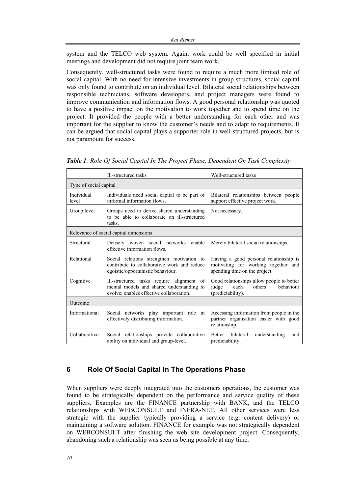system and the TELCO web system. Again, work could be well specified in initial meetings and development did not require joint team work.

Consequently, well-structured tasks were found to require a much more limited role of social capital. With no need for intensive investments in group structures, social capital was only found to contribute on an individual level. Bilateral social relationships between responsible technicians, software developers, and project managers were found to improve communication and information flows. A good personal relationship was quoted to have a positive impact on the motivation to work together and to spend time on the project. It provided the people with a better understanding for each other and was important for the supplier to know the customer's needs and to adapt to requirements. It can be argued that social capital plays a supporter role in well-structured projects, but is not paramount for success.

|                        | Ill-structured tasks                                                                                                               | Well-structured tasks                                                                                          |  |  |
|------------------------|------------------------------------------------------------------------------------------------------------------------------------|----------------------------------------------------------------------------------------------------------------|--|--|
| Type of social capital |                                                                                                                                    |                                                                                                                |  |  |
| Individual<br>level    | Individuals need social capital to be part of<br>informal information flows.                                                       | Bilateral relationships between people<br>support effective project work.                                      |  |  |
| Group level            | Groups need to derive shared understanding<br>to be able to collaborate on ill-structured<br>tasks.                                | Not necessary.                                                                                                 |  |  |
|                        | Relevance of social capital dimensions                                                                                             |                                                                                                                |  |  |
| Structural             | Densely woven social networks enable<br>effective information flows.                                                               | Merely bilateral social relationships.                                                                         |  |  |
| Relational             | Social relations strengthen motivation to<br>contribute to collaborative work and reduce<br>egoistic/opportunistic behaviour.      | Having a good personal relationship is<br>motivating for working together and<br>spending time on the project. |  |  |
| Cognitive              | Ill-structured tasks require alignment of<br>mental models and shared understanding to<br>evolve; enables effective collaboration. | Good relationships allow people to better<br>judge<br>each<br>behaviour<br>others'<br>(predictability).        |  |  |
| Outcome                |                                                                                                                                    |                                                                                                                |  |  |
| Informational          | Social networks play important role in<br>effectively distributing information.                                                    | Accessing information from people in the<br>partner organisation easier with good<br>relationship.             |  |  |
| Collaborative          | Social relationships provide collaborative<br>ability on individual and group-level.                                               | Better<br>bilateral<br>understanding<br>and<br>predictability.                                                 |  |  |

*Table 1: Role Of Social Capital In The Project Phase, Dependent On Task Complexity* 

# **6 Role Of Social Capital In The Operations Phase**

When suppliers were deeply integrated into the customers operations, the customer was found to be strategically dependent on the performance and service quality of these suppliers. Examples are the FINANCE partnership with BANK, and the TELCO relationships with WEBCONSULT and INFRA-NET. All other services were less strategic with the supplier typically providing a service (e.g. content delivery) or maintaining a software solution. FINANCE for example was not strategically dependent on WEBCONSULT after finishing the web site development project. Consequently, abandoning such a relationship was seen as being possible at any time.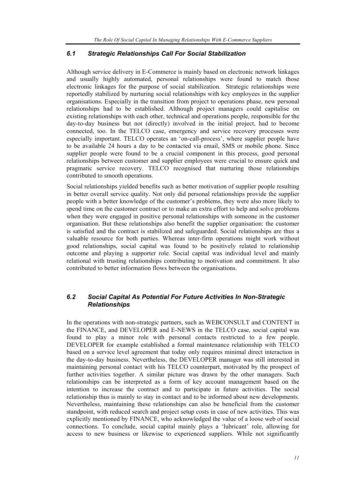#### *6.1 Strategic Relationships Call For Social Stabilization*

Although service delivery in E-Commerce is mainly based on electronic network linkages and usually highly automated, personal relationships were found to match those electronic linkages for the purpose of social stabilization. Strategic relationships were reportedly stabilized by nurturing social relationships with key employees in the supplier organisations. Especially in the transition from project to operations phase, new personal relationships had to be established. Although project managers could capitalise on existing relationships with each other, technical and operations people, responsible for the day-to-day business but not (directly) involved in the initial project, had to become connected, too. In the TELCO case, emergency and service recovery processes were especially important. TELCO operates an 'on-call-process', where supplier people have to be available 24 hours a day to be contacted via email, SMS or mobile phone. Since supplier people were found to be a crucial component in this process, good personal relationships between customer and supplier employees were crucial to ensure quick and pragmatic service recovery. TELCO recognised that nurturing those relationships contributed to smooth operations.

Social relationships yielded benefits such as better motivation of supplier people resulting in better overall service quality. Not only did personal relationships provide the supplier people with a better knowledge of the customer's problems, they were also more likely to spend time on the customer contract or to make an extra effort to help and solve problems when they were engaged in positive personal relationships with someone in the customer organisation. But these relationships also benefit the supplier organisation: the customer is satisfied and the contract is stabilized and safeguarded. Social relationships are thus a valuable resource for both parties. Whereas inter-firm operations might work without good relationships, social capital was found to be positively related to relationship outcome and playing a supporter role. Social capital was individual level and mainly relational with trusting relationships contributing to motivation and commitment. It also contributed to better information flows between the organisations.

# *6.2 Social Capital As Potential For Future Activities In Non-Strategic Relationships*

In the operations with non-strategic partners, such as WEBCONSULT and CONTENT in the FINANCE, and DEVELOPER and E-NEWS in the TELCO case, social capital was found to play a minor role with personal contacts restricted to a few people. DEVELOPER for example established a formal maintenance relationship with TELCO based on a service level agreement that today only requires minimal direct interaction in the day-to-day business. Nevertheless, the DEVELOPER manager was still interested in maintaining personal contact with his TELCO counterpart, motivated by the prospect of further activities together. A similar picture was drawn by the other managers. Such relationships can be interpreted as a form of key account management based on the intention to increase the contract and to participate in future activities. The social relationship thus is mainly to stay in contact and to be informed about new developments. Nevertheless, maintaining these relationships can also be beneficial from the customer standpoint, with reduced search and project setup costs in case of new activities. This was explicitly mentioned by FINANCE, who acknowledged the value of a loose web of social connections. To conclude, social capital mainly plays a 'lubricant' role, allowing for access to new business or likewise to experienced suppliers. While not significantly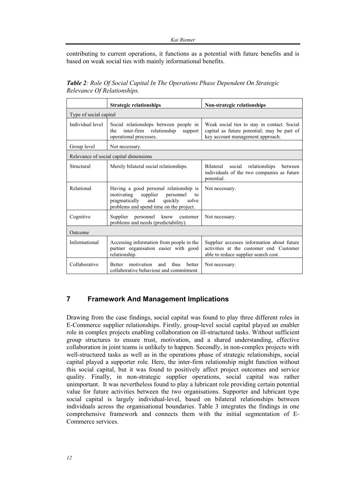contributing to current operations, it functions as a potential with future benefits and is based on weak social ties with mainly informational benefits.

*Table 2: Role Of Social Capital In The Operations Phase Dependent On Strategic Relevance Of Relationships.* 

|                        | <b>Strategic relationships</b>                                                                                                                                             | Non-strategic relationships                                                                                                    |
|------------------------|----------------------------------------------------------------------------------------------------------------------------------------------------------------------------|--------------------------------------------------------------------------------------------------------------------------------|
| Type of social capital |                                                                                                                                                                            |                                                                                                                                |
| Individual level       | Social relationships between people in<br>inter-firm relationship<br>the<br>support<br>operational processes.                                                              | Weak social ties to stay in contact. Social<br>capital as future potential; may be part of<br>key account management approach. |
| Group level            | Not necessary.                                                                                                                                                             |                                                                                                                                |
|                        | Relevance of social capital dimensions                                                                                                                                     |                                                                                                                                |
| Structural             | Merely bilateral social relationships.                                                                                                                                     | Bilateral social relationships<br>between<br>individuals of the two companies as future<br>potential.                          |
| Relational             | Having a good personal relationship is<br>personnel<br>motivating<br>supplier<br>to<br>pragmatically<br>and<br>quickly<br>solve<br>problems and spend time on the project. | Not necessary.                                                                                                                 |
| Cognitive              | personnel know customer<br>Supplier<br>problems and needs (predictability).                                                                                                | Not necessary.                                                                                                                 |
| Outcome                |                                                                                                                                                                            |                                                                                                                                |
| Informational          | Accessing information from people in the<br>partner organisation easier with good<br>relationship.                                                                         | Supplier accesses information about future<br>activities at the customer end. Customer<br>able to reduce supplier search cost. |
| Collaborative          | motivation<br><b>Better</b><br>and<br>thus<br>better<br>collaborative behaviour and commitment.                                                                            | Not necessary.                                                                                                                 |

# **7 Framework And Management Implications**

Drawing from the case findings, social capital was found to play three different roles in E-Commerce supplier relationships. Firstly, group-level social capital played an enabler role in complex projects enabling collaboration on ill-structured tasks. Without sufficient group structures to ensure trust, motivation, and a shared understanding, effective collaboration in joint teams is unlikely to happen. Secondly, in non-complex projects with well-structured tasks as well as in the operations phase of strategic relationships, social capital played a supporter role. Here, the inter-firm relationship might function without this social capital, but it was found to positively affect project outcomes and service quality. Finally, in non-strategic supplier operations, social capital was rather unimportant. It was nevertheless found to play a lubricant role providing certain potential value for future activities between the two organisations. Supporter and lubricant type social capital is largely individual-level, based on bilateral relationships between individuals across the organisational boundaries. Table 3 integrates the findings in one comprehensive framework and connects them with the initial segmentation of E-Commerce services.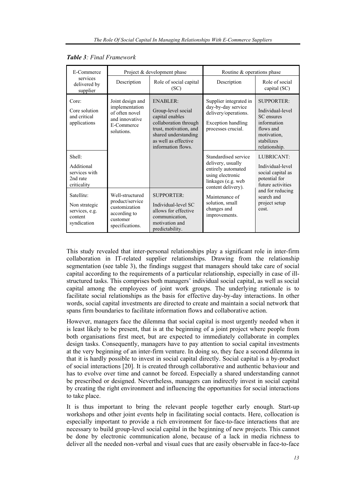| E-Commerce                                                              |                                                                                                    | Project & development phase                                                                                                                                                       | Routine & operations phase                                                                                                      |                                                                                                                               |
|-------------------------------------------------------------------------|----------------------------------------------------------------------------------------------------|-----------------------------------------------------------------------------------------------------------------------------------------------------------------------------------|---------------------------------------------------------------------------------------------------------------------------------|-------------------------------------------------------------------------------------------------------------------------------|
| services<br>delivered by<br>supplier                                    | Description                                                                                        | Role of social capital<br>(SC)                                                                                                                                                    | Description                                                                                                                     | Role of social<br>capital (SC)                                                                                                |
| Core:<br>Core solution<br>and critical<br>applications                  | Joint design and<br>implementation<br>of often novel<br>and innovative<br>E-Commerce<br>solutions. | <b>ENABLER:</b><br>Group-level social<br>capital enables<br>collaboration through<br>trust, motivation, and<br>shared understanding<br>as well as effective<br>information flows. | Supplier integrated in<br>day-by-day service<br>delivery/operations.<br><b>Exception handling</b><br>processes crucial.         | <b>SUPPORTER:</b><br>Individual-level<br>SC ensures<br>information<br>flows and<br>motivation,<br>stabilizes<br>relationship. |
| Shell:<br>Additional<br>services with<br>2nd rate<br>criticality        |                                                                                                    |                                                                                                                                                                                   | Standardised service<br>delivery, usually<br>entirely automated<br>using electronic<br>linkages (e.g. web<br>content delivery). | LUBRICANT:<br>Individual-level<br>social capital as<br>potential for<br>future activities                                     |
| Satellite:<br>Non strategic<br>services, e.g.<br>content<br>syndication | Well-structured<br>product/service<br>customization<br>according to<br>customer<br>specifications. | <b>SUPPORTER:</b><br>Individual-level SC<br>allows for effective<br>communication,<br>motivation and<br>predictability.                                                           | Maintenance of<br>solution, small<br>changes and<br>improvements.                                                               | and for reducing<br>search and<br>project setup<br>cost.                                                                      |

| <b>Table 3: Final Framework</b> |
|---------------------------------|
|---------------------------------|

This study revealed that inter-personal relationships play a significant role in inter-firm collaboration in IT-related supplier relationships. Drawing from the relationship segmentation (see table 3), the findings suggest that managers should take care of social capital according to the requirements of a particular relationship, especially in case of illstructured tasks. This comprises both managers' individual social capital, as well as social capital among the employees of joint work groups. The underlying rationale is to facilitate social relationships as the basis for effective day-by-day interactions. In other words, social capital investments are directed to create and maintain a social network that spans firm boundaries to facilitate information flows and collaborative action.

However, managers face the dilemma that social capital is most urgently needed when it is least likely to be present, that is at the beginning of a joint project where people from both organisations first meet, but are expected to immediately collaborate in complex design tasks. Consequently, managers have to pay attention to social capital investments at the very beginning of an inter-firm venture. In doing so, they face a second dilemma in that it is hardly possible to invest in social capital directly. Social capital is a by-product of social interactions [20]. It is created through collaborative and authentic behaviour and has to evolve over time and cannot be forced. Especially a shared understanding cannot be prescribed or designed. Nevertheless, managers can indirectly invest in social capital by creating the right environment and influencing the opportunities for social interactions to take place.

It is thus important to bring the relevant people together early enough. Start-up workshops and other joint events help in facilitating social contacts. Here, collocation is especially important to provide a rich environment for face-to-face interactions that are necessary to build group-level social capital in the beginning of new projects. This cannot be done by electronic communication alone, because of a lack in media richness to deliver all the needed non-verbal and visual cues that are easily observable in face-to-face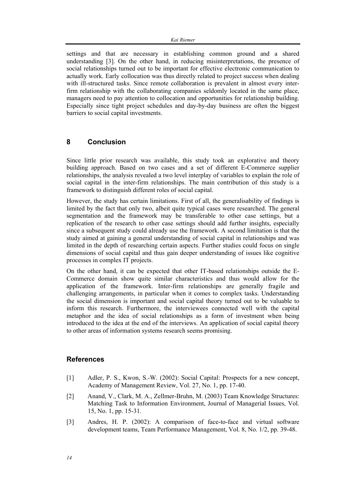settings and that are necessary in establishing common ground and a shared understanding [3]. On the other hand, in reducing misinterpretations, the presence of social relationships turned out to be important for effective electronic communication to actually work. Early collocation was thus directly related to project success when dealing with ill-structured tasks. Since remote collaboration is prevalent in almost every interfirm relationship with the collaborating companies seldomly located in the same place, managers need to pay attention to collocation and opportunities for relationship building. Especially since tight project schedules and day-by-day business are often the biggest barriers to social capital investments.

## **8 Conclusion**

Since little prior research was available, this study took an explorative and theory building approach. Based on two cases and a set of different E-Commerce supplier relationships, the analysis revealed a two level interplay of variables to explain the role of social capital in the inter-firm relationships. The main contribution of this study is a framework to distinguish different roles of social capital.

However, the study has certain limitations. First of all, the generalisability of findings is limited by the fact that only two, albeit quite typical cases were researched. The general segmentation and the framework may be transferable to other case settings, but a replication of the research to other case settings should add further insights, especially since a subsequent study could already use the framework. A second limitation is that the study aimed at gaining a general understanding of social capital in relationships and was limited in the depth of researching certain aspects. Further studies could focus on single dimensions of social capital and thus gain deeper understanding of issues like cognitive processes in complex IT projects.

On the other hand, it can be expected that other IT-based relationships outside the E-Commerce domain show quite similar characteristics and thus would allow for the application of the framework. Inter-firm relationships are generally fragile and challenging arrangements, in particular when it comes to complex tasks. Understanding the social dimension is important and social capital theory turned out to be valuable to inform this research. Furthermore, the interviewees connected well with the capital metaphor and the idea of social relationships as a form of investment when being introduced to the idea at the end of the interviews. An application of social capital theory to other areas of information systems research seems promising.

# **References**

- [1] Adler, P. S., Kwon, S.-W. (2002): Social Capital: Prospects for a new concept, Academy of Management Review, Vol. 27, No. 1, pp. 17-40.
- [2] Anand, V., Clark, M. A., Zellmer-Bruhn, M. (2003) Team Knowledge Structures: Matching Task to Information Environment, Journal of Managerial Issues, Vol. 15, No. 1, pp. 15-31.
- [3] Andres, H. P. (2002): A comparison of face-to-face and virtual software development teams, Team Performance Management, Vol. 8, No. 1/2, pp. 39-48.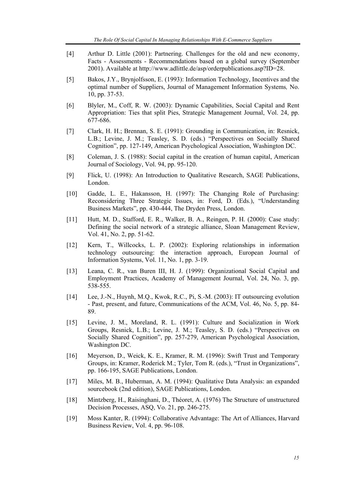- [4] Arthur D. Little (2001): Partnering. Challenges for the old and new economy, Facts - Assessments - Recommendations based on a global survey (September 2001). Available at http://www.adlittle.de/asp/orderpublications.asp?ID=28.
- [5] Bakos, J.Y., Brynjolfsson, E. (1993): Information Technology, Incentives and the optimal number of Suppliers, Journal of Management Information Systems*,* No. 10, pp. 37-53.
- [6] Blyler, M., Coff, R. W. (2003): Dynamic Capabilities, Social Capital and Rent Appropriation: Ties that split Pies, Strategic Management Journal, Vol. 24, pp. 677-686.
- [7] Clark, H. H.; Brennan, S. E. (1991): Grounding in Communication, in: Resnick, L.B.; Levine, J. M.; Teasley, S. D. (eds.) "Perspectives on Socially Shared Cognition", pp. 127-149, American Psychological Association, Washington DC.
- [8] Coleman, J. S. (1988): Social capital in the creation of human capital, American Journal of Sociology, Vol. 94, pp. 95-120.
- [9] Flick, U. (1998): An Introduction to Qualitative Research, SAGE Publications, London.
- [10] Gadde, L. E., Hakansson, H. (1997): The Changing Role of Purchasing: Reconsidering Three Strategic Issues, in: Ford, D. (Eds.), "Understanding Business Markets", pp. 430-444, The Dryden Press, London.
- [11] Hutt, M. D., Stafford, E. R., Walker, B. A., Reingen, P. H. (2000): Case study: Defining the social network of a strategic alliance, Sloan Management Review, Vol. 41, No. 2, pp. 51-62.
- [12] Kern, T., Willcocks, L. P. (2002): Exploring relationships in information technology outsourcing: the interaction approach, European Journal of Information Systems, Vol. 11, No. 1, pp. 3-19.
- [13] Leana, C. R., van Buren III, H. J. (1999): Organizational Social Capital and Employment Practices, Academy of Management Journal, Vol. 24, No. 3, pp. 538-555.
- [14] Lee, J.-N., Huynh, M.Q., Kwok, R.C., Pi, S.-M. (2003): IT outsourcing evolution - Past, present, and future, Communications of the ACM, Vol. 46, No. 5, pp. 84- 89.
- [15] Levine, J. M., Moreland, R. L. (1991): Culture and Socialization in Work Groups, Resnick, L.B.; Levine, J. M.; Teasley, S. D. (eds.) "Perspectives on Socially Shared Cognition", pp. 257-279, American Psychological Association, Washington DC.
- [16] Meyerson, D., Weick, K. E., Kramer, R. M. (1996): Swift Trust and Temporary Groups, in: Kramer, Roderick M.; Tyler, Tom R. (eds.), "Trust in Organizations", pp. 166-195, SAGE Publications, London.
- [17] Miles, M. B., Huberman, A. M. (1994): Qualitative Data Analysis: an expanded sourcebook (2nd edition), SAGE Publications, London.
- [18] Mintzberg, H., Raisinghani, D., Théoret, A. (1976) The Structure of unstructured Decision Processes, ASQ, Vo. 21, pp. 246-275.
- [19] Moss Kanter, R. (1994): Collaborative Advantage: The Art of Alliances, Harvard Business Review, Vol. 4, pp. 96-108.